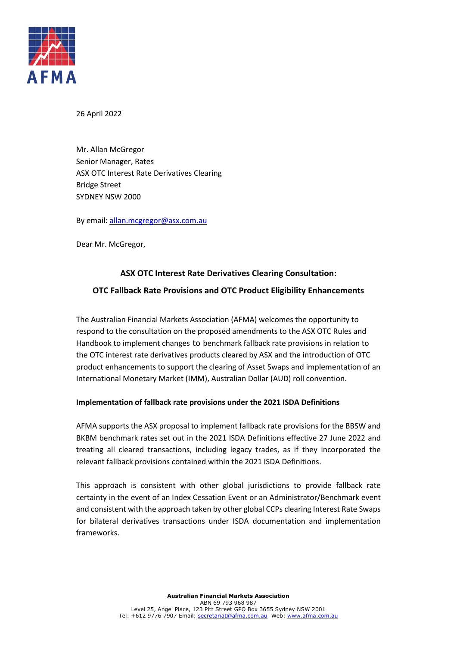

26 April 2022

Mr. Allan McGregor Senior Manager, Rates ASX OTC Interest Rate Derivatives Clearing Bridge Street SYDNEY NSW 2000

By email[: allan.mcgregor@asx.com.au](mailto:allan.mcgregor@asx.com.au)

Dear Mr. McGregor,

## **ASX OTC Interest Rate Derivatives Clearing Consultation:**

## **OTC Fallback Rate Provisions and OTC Product Eligibility Enhancements**

The Australian Financial Markets Association (AFMA) welcomes the opportunity to respond to the consultation on the proposed amendments to the ASX OTC Rules and Handbook to implement changes to benchmark fallback rate provisions in relation to the OTC interest rate derivatives products cleared by ASX and the introduction of OTC product enhancements to support the clearing of Asset Swaps and implementation of an International Monetary Market (IMM), Australian Dollar (AUD) roll convention.

## **Implementation of fallback rate provisions under the 2021 ISDA Definitions**

AFMA supports the ASX proposal to implement fallback rate provisions for the BBSW and BKBM benchmark rates set out in the 2021 ISDA Definitions effective 27 June 2022 and treating all cleared transactions, including legacy trades, as if they incorporated the relevant fallback provisions contained within the 2021 ISDA Definitions.

This approach is consistent with other global jurisdictions to provide fallback rate certainty in the event of an Index Cessation Event or an Administrator/Benchmark event and consistent with the approach taken by other global CCPs clearing Interest Rate Swaps for bilateral derivatives transactions under ISDA documentation and implementation frameworks.